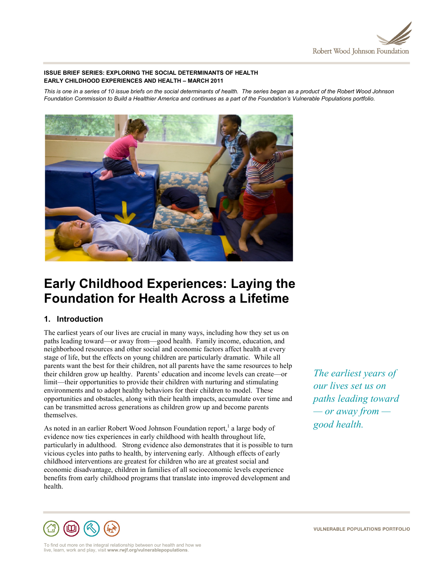

## **ISSUE BRIEF SERIES: EXPLORING THE SOCIAL DETERMINANTS OF HEALTH EARLY CHILDHOOD EXPERIENCES AND HEALTH – MARCH 2011**

*This is one in a series of 10 issue briefs on the social determinants of health. The series began as a product of the Robert Wood Johnson Foundation Commission to Build a Healthier America and continues as a part of the Foundation's Vulnerable Populations portfolio.*



# **Early Childhood Experiences: Laying the Foundation for Health Across a Lifetime**

## **1. Introduction**

The earliest years of our lives are crucial in many ways, including how they set us on paths leading toward—or away from—good health. Family income, education, and neighborhood resources and other social and economic factors affect health at every stage of life, but the effects on young children are particularly dramatic. While all parents want the best for their children, not all parents have the same resources to help their children grow up healthy. Parents' education and income levels can create—or limit—their opportunities to provide their children with nurturing and stimulating environments and to adopt healthy behaviors for their children to model. These opportunities and obstacles, along with their health impacts, accumulate over time and can be transmitted across generations as children grow up and become parents themselves.

As noted in an earlier Robert Wood Johnson Foundation report,  $\alpha$  a large body of evidence now ties experiences in early childhood with health throughout life, particularly in adulthood. Strong evidence also demonstrates that it is possible to turn vicious cycles into paths to health, by intervening early. Although effects of early childhood interventions are greatest for children who are at greatest social and economic disadvantage, children in families of all socioeconomic levels experience benefits from early childhood programs that translate into improved development and health.

*The earliest years of our lives set us on paths leading toward — or away from good health.*



To find out more on the integral relationship between our health and how we live, learn, work and play, visit **www.rwjf.org/vulnerablepopulations**.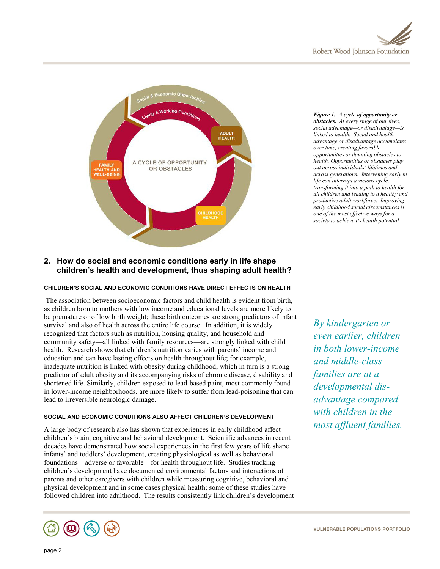



*Figure 1. A cycle of opportunity or obstacles. At every stage of our lives, social advantage—or disadvantage—is linked to health. Social and health advantage or disadvantage accumulates over time, creating favorable opportunities or daunting obstacles to health. Opportunities or obstacles play out across individuals' lifetimes and across generations. Intervening early in life can interrupt a vicious cycle, transforming it into a path to health for all children and leading to a healthy and productive adult workforce. Improving early childhood social circumstances is one of the most effective ways for a society to achieve its health potential.*

# **2. How do social and economic conditions early in life shape children's health and development, thus shaping adult health?**

## **CHILDREN'S SOCIAL AND ECONOMIC CONDITIONS HAVE DIRECT EFFECTS ON HEALTH**

The association between socioeconomic factors and child health is evident from birth, as children born to mothers with low income and educational levels are more likely to be premature or of low birth weight; these birth outcomes are strong predictors of infant survival and also of health across the entire life course. In addition, it is widely recognized that factors such as nutrition, housing quality, and household and community safety—all linked with family resources—are strongly linked with child health. Research shows that children's nutrition varies with parents' income and education and can have lasting effects on health throughout life; for example, inadequate nutrition is linked with obesity during childhood, which in turn is a strong predictor of adult obesity and its accompanying risks of chronic disease, disability and shortened life. Similarly, children exposed to lead-based paint, most commonly found in lower-income neighborhoods, are more likely to suffer from lead-poisoning that can lead to irreversible neurologic damage.

## **SOCIAL AND ECONOMIC CONDITIONS ALSO AFFECT CHILDREN'S DEVELOPMENT**

A large body of research also has shown that experiences in early childhood affect children's brain, cognitive and behavioral development. Scientific advances in recent decades have demonstrated how social experiences in the first few years of life shape infants' and toddlers' development, creating physiological as well as behavioral foundations—adverse or favorable—for health throughout life. Studies tracking children's development have documented environmental factors and interactions of parents and other caregivers with children while measuring cognitive, behavioral and physical development and in some cases physical health; some of these studies have followed children into adulthood. The results consistently link children's development



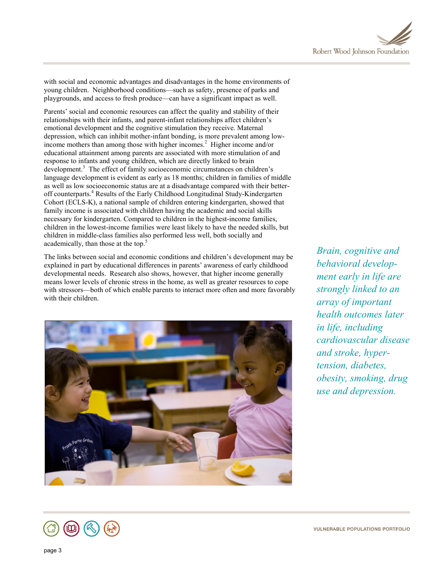

with social and economic advantages and disadvantages in the home environments of young children. Neighborhood conditions—such as safety, presence of parks and playgrounds, and access to fresh produce—can have a significant impact as well.

Parents' social and economic resources can affect the quality and stability of their relationships with their infants, and parent-infant relationships affect children's emotional development and the cognitive stimulation they receive. Maternal depression, which can inhibit mother-infant bonding, is more prevalent among lowincome mothers than among those with higher incomes.<sup>2</sup> Higher income and/or educational attainment among parents are associated with more stimulation of and response to infants and young children, which are directly linked to brain development.<sup>3</sup> The effect of family socioeconomic circumstances on children's language development is evident as early as 18 months; children in families of middle as well as low socioeconomic status are at a disadvantage compared with their betteroff counterparts.<sup>4</sup> Results of the Early Childhood Longitudinal Study-Kindergarten Cohort (ECLS-K), a national sample of children entering kindergarten, showed that family income is associated with children having the academic and social skills necessary for kindergarten. Compared to children in the highest-income families, children in the lowest-income families were least likely to have the needed skills, but children in middle-class families also performed less well, both socially and academically, than those at the top.<sup>5</sup>

The links between social and economic conditions and children's development may be explained in part by educational differences in parents' awareness of early childhood developmental needs. Research also shows, however, that higher income generally means lower levels of chronic stress in the home, as well as greater resources to cope with stressors—both of which enable parents to interact more often and more favorably with their children.



*Brain, cognitive and behavioral development early in life are strongly linked to an array of important health outcomes later in life, including cardiovascular disease and stroke, hypertension, diabetes, obesity, smoking, drug use and depression.*

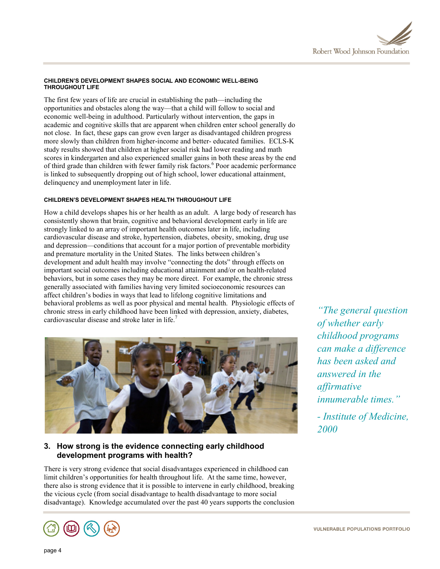## **CHILDREN'S DEVELOPMENT SHAPES SOCIAL AND ECONOMIC WELL-BEING THROUGHOUT LIFE**

The first few years of life are crucial in establishing the path—including the opportunities and obstacles along the way—that a child will follow to social and economic well-being in adulthood. Particularly without intervention, the gaps in academic and cognitive skills that are apparent when children enter school generally do not close. In fact, these gaps can grow even larger as disadvantaged children progress more slowly than children from higher-income and better- educated families. ECLS-K study results showed that children at higher social risk had lower reading and math scores in kindergarten and also experienced smaller gains in both these areas by the end of third grade than children with fewer family risk factors.<sup>6</sup> Poor academic performance is linked to subsequently dropping out of high school, lower educational attainment, delinquency and unemployment later in life.

# **CHILDREN'S DEVELOPMENT SHAPES HEALTH THROUGHOUT LIFE**

How a child develops shapes his or her health as an adult. A large body of research has consistently shown that brain, cognitive and behavioral development early in life are strongly linked to an array of important health outcomes later in life, including cardiovascular disease and stroke, hypertension, diabetes, obesity, smoking, drug use and depression—conditions that account for a major portion of preventable morbidity and premature mortality in the United States. The links between children's development and adult health may involve "connecting the dots" through effects on important social outcomes including educational attainment and/or on health-related behaviors, but in some cases they may be more direct. For example, the chronic stress generally associated with families having very limited socioeconomic resources can affect children's bodies in ways that lead to lifelong cognitive limitations and behavioral problems as well as poor physical and mental health. Physiologic effects of chronic stress in early childhood have been linked with depression, anxiety, diabetes, cardiovascular disease and stroke later in life.<sup>7</sup>



# **3. How strong is the evidence connecting early childhood development programs with health?**

There is very strong evidence that social disadvantages experienced in childhood can limit children's opportunities for health throughout life. At the same time, however, there also is strong evidence that it is possible to intervene in early childhood, breaking the vicious cycle (from social disadvantage to health disadvantage to more social disadvantage). Knowledge accumulated over the past 40 years supports the conclusion

*"The general question of whether early childhood programs can make a difference has been asked and answered in the affirmative innumerable times."*

*- Institute of Medicine, 2000*

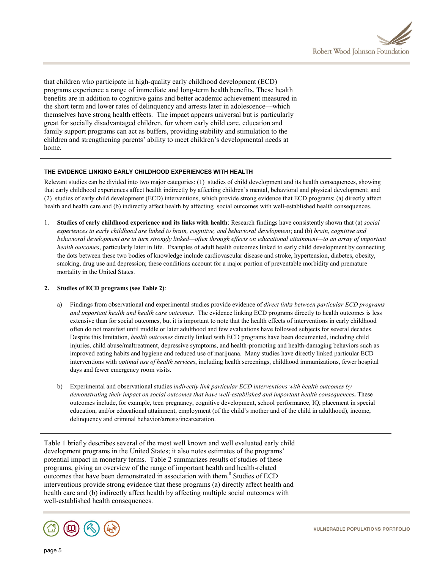

that children who participate in high-quality early childhood development (ECD) programs experience a range of immediate and long-term health benefits. These health benefits are in addition to cognitive gains and better academic achievement measured in the short term and lower rates of delinquency and arrests later in adolescence—which themselves have strong health effects. The impact appears universal but is particularly great for socially disadvantaged children, for whom early child care, education and family support programs can act as buffers, providing stability and stimulation to the children and strengthening parents' ability to meet children's developmental needs at home.

## **THE EVIDENCE LINKING EARLY CHILDHOOD EXPERIENCES WITH HEALTH**

Relevant studies can be divided into two major categories: (1) studies of child development and its health consequences, showing that early childhood experiences affect health indirectly by affecting children's mental, behavioral and physical development; and (2) studies of early child development (ECD) interventions, which provide strong evidence that ECD programs: (a) directly affect health and health care and (b) indirectly affect health by affecting social outcomes with well-established health consequences.

1. **Studies of early childhood experience and its links with health**: Research findings have consistently shown that (a) *social experiences in early childhood are linked to brain, cognitive, and behavioral development*; and (b) *brain, cognitive and behavioral development are in turn strongly linked—often through effects on educational attainment—to an array of important health outcomes*, particularly later in life. Examples of adult health outcomes linked to early child development by connecting the dots between these two bodies of knowledge include cardiovascular disease and stroke, hypertension, diabetes, obesity, smoking, drug use and depression; these conditions account for a major portion of preventable morbidity and premature mortality in the United States.

## **2. Studies of ECD programs (see Table 2)**:

- a) Findings from observational and experimental studies provide evidence of *direct links between particular ECD programs and important health and health care outcomes*. The evidence linking ECD programs directly to health outcomes is less extensive than for social outcomes, but it is important to note that the health effects of interventions in early childhood often do not manifest until middle or later adulthood and few evaluations have followed subjects for several decades. Despite this limitation, *health outcomes* directly linked with ECD programs have been documented, including child injuries, child abuse/maltreatment, depressive symptoms, and health-promoting and health-damaging behaviors such as improved eating habits and hygiene and reduced use of marijuana. Many studies have directly linked particular ECD interventions with *optimal use of health services*, including health screenings, childhood immunizations, fewer hospital days and fewer emergency room visits.
- b) Experimental and observational studies *indirectly link particular ECD interventions with health outcomes by demonstrating their impact on social outcomes that have well-established and important health consequences***.** These outcomes include, for example, teen pregnancy, cognitive development, school performance, IQ, placement in special education, and/or educational attainment, employment (of the child's mother and of the child in adulthood), income, delinquency and criminal behavior/arrests/incarceration.

Table 1 briefly describes several of the most well known and well evaluated early child development programs in the United States; it also notes estimates of the programs' potential impact in monetary terms. Table 2 summarizes results of studies of these programs, giving an overview of the range of important health and health-related outcomes that have been demonstrated in association with them.<sup>8</sup> Studies of ECD interventions provide strong evidence that these programs (a) directly affect health and health care and (b) indirectly affect health by affecting multiple social outcomes with well-established health consequences.

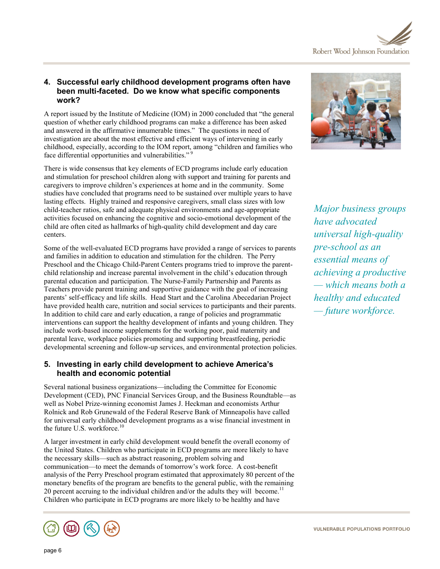

# **4. Successful early childhood development programs often have been multi-faceted. Do we know what specific components work?**

A report issued by the Institute of Medicine (IOM) in 2000 concluded that "the general question of whether early childhood programs can make a difference has been asked and answered in the affirmative innumerable times." The questions in need of investigation are about the most effective and efficient ways of intervening in early childhood, especially, according to the IOM report, among "children and families who face differential opportunities and vulnerabilities."<sup>9</sup>

There is wide consensus that key elements of ECD programs include early education and stimulation for preschool children along with support and training for parents and caregivers to improve children's experiences at home and in the community. Some studies have concluded that programs need to be sustained over multiple years to have lasting effects. Highly trained and responsive caregivers, small class sizes with low child-teacher ratios, safe and adequate physical environments and age-appropriate activities focused on enhancing the cognitive and socio-emotional development of the child are often cited as hallmarks of high-quality child development and day care centers.

Some of the well-evaluated ECD programs have provided a range of services to parents and families in addition to education and stimulation for the children. The Perry Preschool and the Chicago Child-Parent Centers programs tried to improve the parentchild relationship and increase parental involvement in the child's education through parental education and participation. The Nurse-Family Partnership and Parents as Teachers provide parent training and supportive guidance with the goal of increasing parents' self-efficacy and life skills. Head Start and the Carolina Abecedarian Project have provided health care, nutrition and social services to participants and their parents. In addition to child care and early education, a range of policies and programmatic interventions can support the healthy development of infants and young children. They include work-based income supplements for the working poor, paid maternity and parental leave, workplace policies promoting and supporting breastfeeding, periodic developmental screening and follow-up services, and environmental protection policies.

# **5. Investing in early child development to achieve America's health and economic potential**

Several national business organizations—including the Committee for Economic Development (CED), PNC Financial Services Group, and the Business Roundtable—as well as Nobel Prize-winning economist James J. Heckman and economists Arthur Rolnick and Rob Grunewald of the Federal Reserve Bank of Minneapolis have called for universal early childhood development programs as a wise financial investment in the future U.S. workforce.<sup>10</sup>

A larger investment in early child development would benefit the overall economy of the United States. Children who participate in ECD programs are more likely to have the necessary skills—such as abstract reasoning, problem solving and communication—to meet the demands of tomorrow's work force. A cost-benefit analysis of the Perry Preschool program estimated that approximately 80 percent of the monetary benefits of the program are benefits to the general public, with the remaining 20 percent accruing to the individual children and/or the adults they will become.<sup>11</sup> Children who participate in ECD programs are more likely to be healthy and have





*Major business groups have advocated universal high-quality pre-school as an essential means of achieving a productive — which means both a healthy and educated — future workforce.*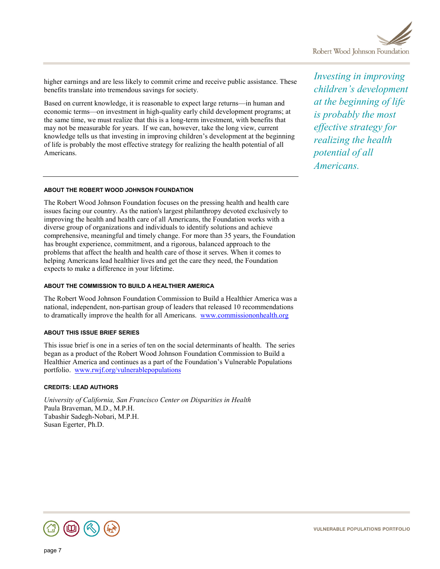

higher earnings and are less likely to commit crime and receive public assistance. These benefits translate into tremendous savings for society.

Based on current knowledge, it is reasonable to expect large returns—in human and economic terms—on investment in high-quality early child development programs; at the same time, we must realize that this is a long-term investment, with benefits that may not be measurable for years. If we can, however, take the long view, current knowledge tells us that investing in improving children's development at the beginning of life is probably the most effective strategy for realizing the health potential of all Americans.

## **ABOUT THE ROBERT WOOD JOHNSON FOUNDATION**

The Robert Wood Johnson Foundation focuses on the pressing health and health care issues facing our country. As the nation's largest philanthropy devoted exclusively to improving the health and health care of all Americans, the Foundation works with a diverse group of organizations and individuals to identify solutions and achieve comprehensive, meaningful and timely change. For more than 35 years, the Foundation has brought experience, commitment, and a rigorous, balanced approach to the problems that affect the health and health care of those it serves. When it comes to helping Americans lead healthier lives and get the care they need, the Foundation expects to make a difference in your lifetime.

#### **ABOUT THE COMMISSION TO BUILD A HEALTHIER AMERICA**

The Robert Wood Johnson Foundation Commission to Build a Healthier America was a national, independent, non-partisan group of leaders that released 10 recommendations to dramatically improve the health for all Americans. [www.commissiononhealth.org](http://www.commissiononhealth.org/)

## **ABOUT THIS ISSUE BRIEF SERIES**

This issue brief is one in a series of ten on the social determinants of health. The series began as a product of the Robert Wood Johnson Foundation Commission to Build a Healthier America and continues as a part of the Foundation's Vulnerable Populations portfolio. [www.rwjf.org/vulnerablepopulations](http://www.rwjf.org/vulnerablepopulations)

## **CREDITS: LEAD AUTHORS**

*University of California, San Francisco Center on Disparities in Health* Paula Braveman, M.D., M.P.H. Tabashir Sadegh-Nobari, M.P.H. Susan Egerter, Ph.D.

*Investing in improving children's development at the beginning of life is probably the most effective strategy for realizing the health potential of all Americans.*

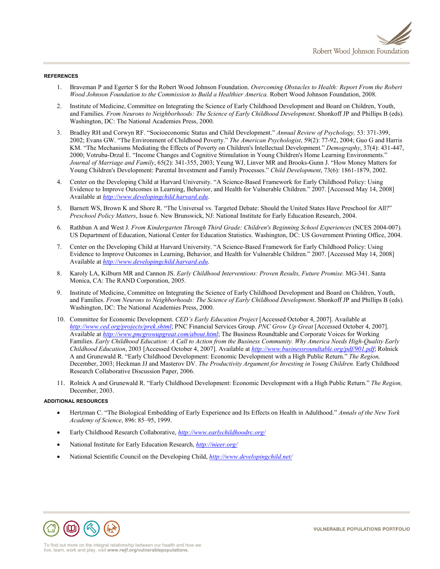

#### **REFERENCES**

- 1. Braveman P and Egerter S for the Robert Wood Johnson Foundation. *Overcoming Obstacles to Health: Report From the Robert Wood Johnson Foundation to the Commission to Build a Healthier America.* Robert Wood Johnson Foundation, 2008.
- 2. Institute of Medicine, Committee on Integrating the Science of Early Childhood Development and Board on Children, Youth, and Families. *From Neurons to Neighborhoods: The Science of Early Childhood Development*. Shonkoff JP and Phillips B (eds). Washington, DC: The National Academies Press, 2000.
- 3. Bradley RH and Corwyn RF. "Socioeconomic Status and Child Development." *Annual Review of Psychology,* 53: 371-399, 2002; Evans GW. "The Environment of Childhood Poverty." *The American Psychologist*, 59(2): 77-92, 2004; Guo G and Harris KM. "The Mechanisms Mediating the Effects of Poverty on Children's Intellectual Development*.*" *Demography*, 37(4): 431-447, 2000; Votruba-Drzal E. "Income Changes and Cognitive Stimulation in Young Children's Home Learning Environments." *Journal of Marriage and Family*, 65(2): 341-355, 2003; Yeung WJ, Linver MR and Brooks-Gunn J. "How Money Matters for Young Children's Development: Parental Investment and Family Processes." *Child Development*, 73(6): 1861-1879, 2002.
- 4. Center on the Developing Child at Harvard University. "A Science-Based Framework for Early Childhood Policy: Using Evidence to Improve Outcomes in Learning, Behavior, and Health for Vulnerable Children." 2007. [Accessed May 14, 2008] Available at *[http://www.developingchild.harvard.edu](http://www.developingchild.harvard.edu/)*.
- 5. Barnett WS, Brown K and Shore R. "The Universal vs. Targeted Debate: Should the United States Have Preschool for All?" *Preschool Policy Matters*, Issue 6. New Brunswick, NJ: National Institute for Early Education Research, 2004.
- 6. Rathbun A and West J. *From Kindergarten Through Third Grade: Children's Beginning School Experiences* (NCES 2004-007). US Department of Education, National Center for Education Statistics. Washington, DC: US Government Printing Office, 2004.
- 7. Center on the Developing Child at Harvard University. "A Science-Based Framework for Early Childhood Policy: Using Evidence to Improve Outcomes in Learning, Behavior, and Health for Vulnerable Children." 2007. [Accessed May 14, 2008] Available at *[http://www.developingchild.harvard.edu](http://www.developingchild.harvard.edu/)*.
- 8. Karoly LA, Kilburn MR and Cannon JS. *Early Childhood Interventions: Proven Results, Future Promise.* MG-341. Santa Monica, CA: The RAND Corporation, 2005.
- 9. Institute of Medicine, Committee on Integrating the Science of Early Childhood Development and Board on Children, Youth, and Families. *From Neurons to Neighborhoods: The Science of Early Childhood Development*. Shonkoff JP and Phillips B (eds). Washington, DC: The National Academies Press, 2000.
- 10. Committee for Economic Development. *CED's Early Education Project* [Accessed October 4, 2007]. Available at *<http://www.ced.org/projects/prek.shtml>*; PNC Financial Services Group. *PNC Grow Up Great* [Accessed October 4, 2007]. Available at *<http://www.pncgrowupgreat.com/about.html>*; The Business Roundtable and Corporate Voices for Working Families. *Early Childhood Education: A Call to Action from the Business Community. Why America Needs High-Quality Early Childhood Education*, 2003 [Accessed October 4, 2007]. Available at *<http://www.businessroundtable.org/pdf/901.pdf>*; Rolnick A and Grunewald R. "Early Childhood Development: Economic Development with a High Public Return." *The Region,*  December, 2003; Heckman JJ and Masterov DV. *The Productivity Argument for Investing in Young Children.* Early Childhood Research Collaborative Discussion Paper, 2006.
- 11. Rolnick A and Grunewald R. "Early Childhood Development: Economic Development with a High Public Return." *The Region,*  December, 2003.

#### **ADDITIONAL RESOURCES**

- Hertzman C. "The Biological Embedding of Early Experience and Its Effects on Health in Adulthood." *Annals of the New York Academy of Science*, 896: 85–95, 1999.
- Early Childhood Research Collaborative, *<http://www.earlychildhoodrc.org/>*
- National Institute for Early Education Research, *<http://nieer.org/>*
- National Scientific Council on the Developing Child, *<http://www.developingchild.net/>*

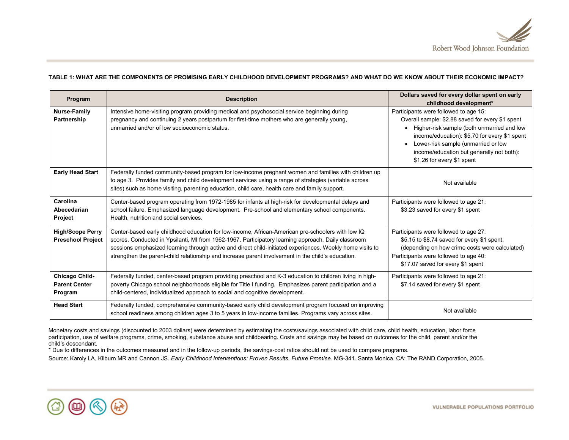

#### **TABLE 1: WHAT ARE THE COMPONENTS OF PROMISING EARLY CHILDHOOD DEVELOPMENT PROGRAMS? AND WHAT DO WE KNOW ABOUT THEIR ECONOMIC IMPACT?**

| Program                                             | <b>Description</b>                                                                                                                                                                                                                                                                                                                                                                                                          | Dollars saved for every dollar spent on early<br>childhood development*                                                                                                                                                                                                                                    |  |
|-----------------------------------------------------|-----------------------------------------------------------------------------------------------------------------------------------------------------------------------------------------------------------------------------------------------------------------------------------------------------------------------------------------------------------------------------------------------------------------------------|------------------------------------------------------------------------------------------------------------------------------------------------------------------------------------------------------------------------------------------------------------------------------------------------------------|--|
| Nurse-Family<br>Partnership                         | Intensive home-visiting program providing medical and psychosocial service beginning during<br>pregnancy and continuing 2 years postpartum for first-time mothers who are generally young,<br>unmarried and/or of low socioeconomic status.                                                                                                                                                                                 | Participants were followed to age 15:<br>Overall sample: \$2.88 saved for every \$1 spent<br>Higher-risk sample (both unmarried and low<br>income/education): \$5.70 for every \$1 spent<br>Lower-risk sample (unmarried or low<br>income/education but generally not both):<br>\$1.26 for every \$1 spent |  |
| <b>Early Head Start</b>                             | Federally funded community-based program for low-income pregnant women and families with children up<br>to age 3. Provides family and child development services using a range of strategies (variable across<br>sites) such as home visiting, parenting education, child care, health care and family support.                                                                                                             | Not available                                                                                                                                                                                                                                                                                              |  |
| Carolina<br>Abecedarian<br><b>Project</b>           | Center-based program operating from 1972-1985 for infants at high-risk for developmental delays and<br>school failure. Emphasized language development. Pre-school and elementary school components.<br>Health, nutrition and social services.                                                                                                                                                                              | Participants were followed to age 21:<br>\$3.23 saved for every \$1 spent                                                                                                                                                                                                                                  |  |
| <b>High/Scope Perry</b><br><b>Preschool Project</b> | Center-based early childhood education for low-income, African-American pre-schoolers with low IQ<br>scores. Conducted in Ypsilanti, MI from 1962-1967. Participatory learning approach. Daily classroom<br>sessions emphasized learning through active and direct child-initiated experiences. Weekly home visits to<br>strengthen the parent-child relationship and increase parent involvement in the child's education. | Participants were followed to age 27:<br>\$5.15 to \$8.74 saved for every \$1 spent,<br>(depending on how crime costs were calculated)<br>Participants were followed to age 40:<br>\$17.07 saved for every \$1 spent                                                                                       |  |
| Chicago Child-<br><b>Parent Center</b><br>Program   | Federally funded, center-based program providing preschool and K-3 education to children living in high-<br>poverty Chicago school neighborhoods eligible for Title I funding. Emphasizes parent participation and a<br>child-centered, individualized approach to social and cognitive development.                                                                                                                        | Participants were followed to age 21:<br>\$7.14 saved for every \$1 spent                                                                                                                                                                                                                                  |  |
| <b>Head Start</b>                                   | Federally funded, comprehensive community-based early child development program focused on improving<br>school readiness among children ages 3 to 5 years in low-income families. Programs vary across sites.                                                                                                                                                                                                               | Not available                                                                                                                                                                                                                                                                                              |  |

Monetary costs and savings (discounted to 2003 dollars) were determined by estimating the costs/savings associated with child care, child health, education, labor force participation, use of welfare programs, crime, smoking, substance abuse and childbearing. Costs and savings may be based on outcomes for the child, parent and/or the child's descendant.

\* Due to differences in the outcomes measured and in the follow-up periods, the savings-cost ratios should not be used to compare programs.

Source: Karoly LA, Kilburn MR and Cannon JS. *Early Childhood Interventions: Proven Results, Future Promise.* MG-341. Santa Monica, CA: The RAND Corporation, 2005.